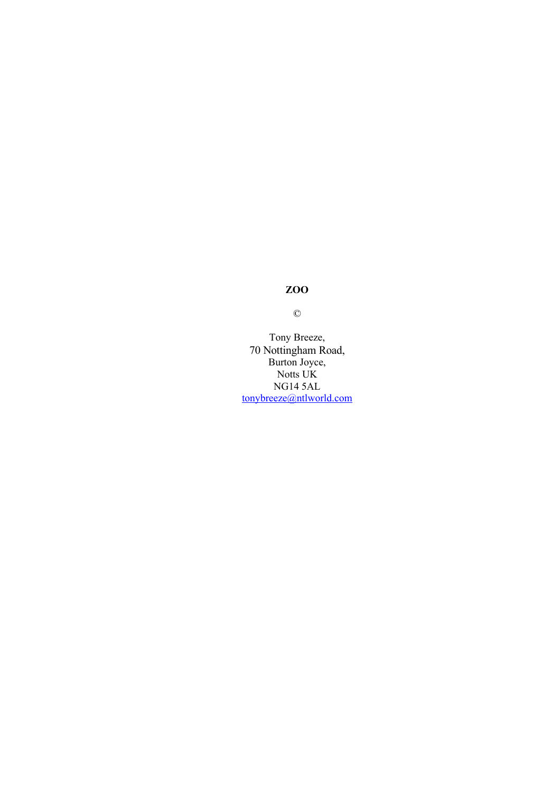©

Tony Breeze, 70 Nottingham Road, Burton Joyce, Notts UK NG14 5AL [tonybreeze@ntlworld.com](mailto:tonybreeze@ntlworld.com)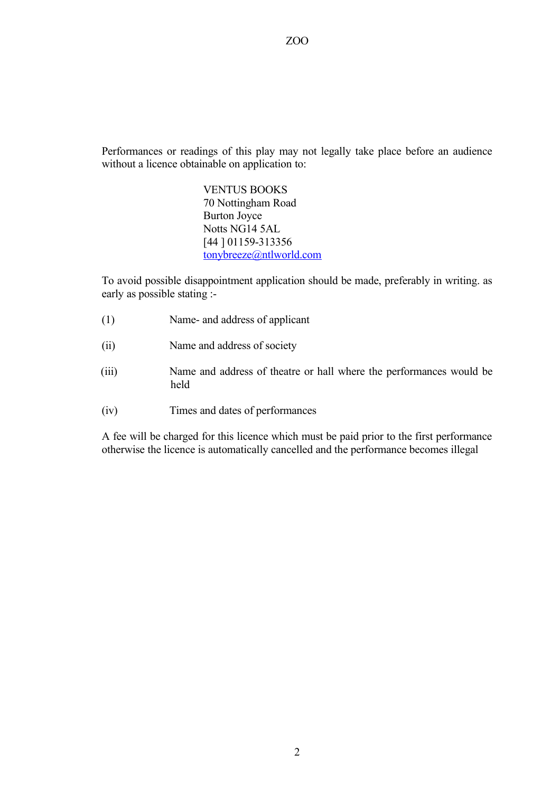Performances or readings of this play may not legally take place before an audience without a licence obtainable on application to:

> VENTUS BOOKS 70 Nottingham Road Burton Joyce Notts NG14 5AL [44 ] 01159-313356 [tonybreeze@ntlworld.com](mailto:tonybreeze@ntlworld.com)

To avoid possible disappointment application should be made, preferably in writing. as early as possible stating :-

- (1) Name- and address of applicant
- (ii) Name and address of society
- (iii) Name and address of theatre or hall where the performances would be held
- (iv) Times and dates of performances

A fee will be charged for this licence which must be paid prior to the first performance otherwise the licence is automatically cancelled and the performance becomes illegal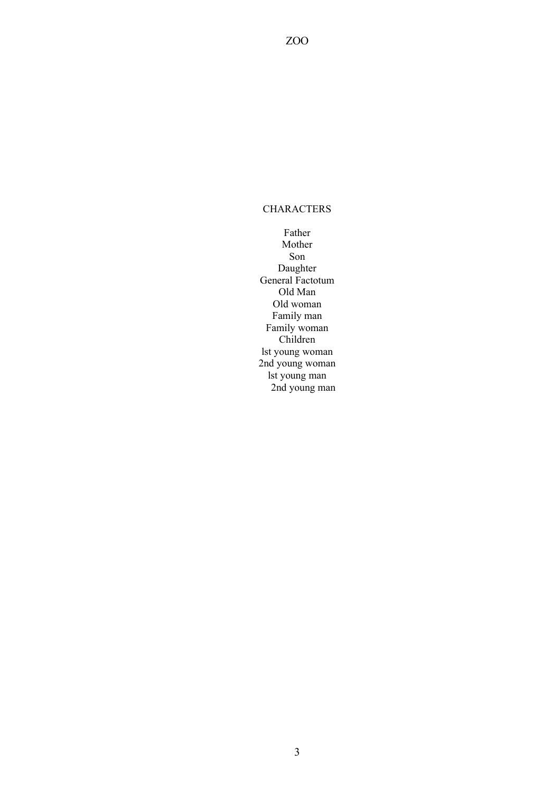## **CHARACTERS**

ZOO

Father Mother Son Daughter General Factotum Old Man Old woman Family man Family woman Children lst young woman 2nd young woman lst young man 2nd young man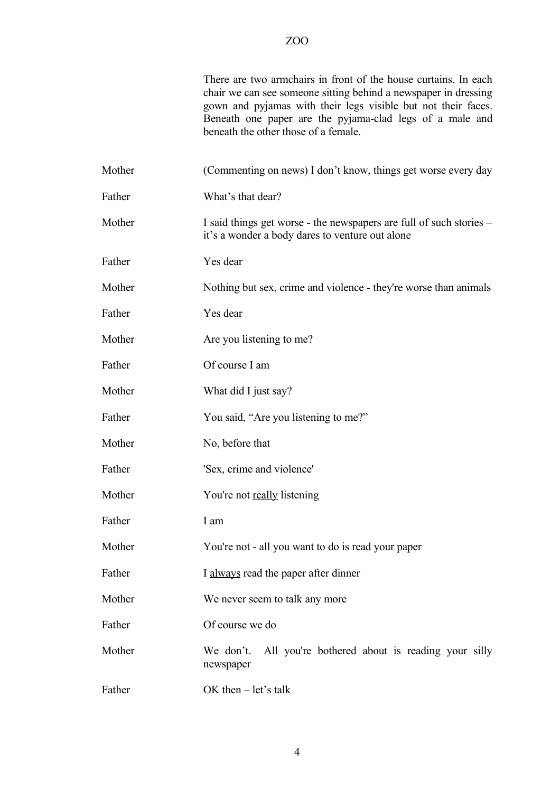There are two armchairs in front of the house curtains. In each chair we can see someone sitting behind a newspaper in dressing gown and pyjamas with their legs visible but not their faces. Beneath one paper are the pyjama-clad legs of a male and beneath the other those of a female.

| Mother | (Commenting on news) I don't know, things get worse every day                                                          |
|--------|------------------------------------------------------------------------------------------------------------------------|
| Father | What's that dear?                                                                                                      |
| Mother | I said things get worse - the newspapers are full of such stories -<br>it's a wonder a body dares to venture out alone |
| Father | Yes dear                                                                                                               |
| Mother | Nothing but sex, crime and violence - they're worse than animals                                                       |
| Father | Yes dear                                                                                                               |
| Mother | Are you listening to me?                                                                                               |
| Father | Of course I am                                                                                                         |
| Mother | What did I just say?                                                                                                   |
| Father | You said, "Are you listening to me?"                                                                                   |
| Mother | No, before that                                                                                                        |
| Father | 'Sex, crime and violence'                                                                                              |
| Mother | You're not really listening                                                                                            |
| Father | I am                                                                                                                   |
| Mother | You're not - all you want to do is read your paper                                                                     |
| Father | I always read the paper after dinner                                                                                   |
| Mother | We never seem to talk any more                                                                                         |
| Father | Of course we do                                                                                                        |
| Mother | All you're bothered about is reading your silly<br>We don't.<br>newspaper                                              |
| Father | OK then $-$ let's talk                                                                                                 |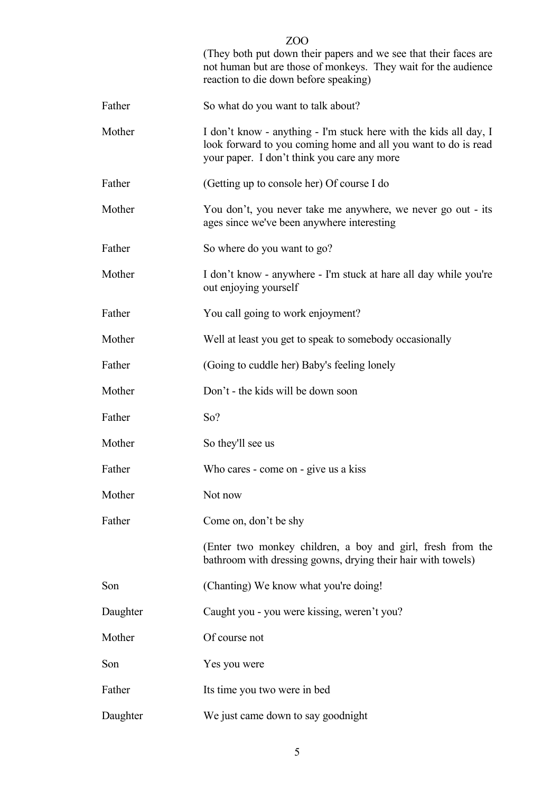|          | (They both put down their papers and we see that their faces are<br>not human but are those of monkeys. They wait for the audience<br>reaction to die down before speaking)        |
|----------|------------------------------------------------------------------------------------------------------------------------------------------------------------------------------------|
| Father   | So what do you want to talk about?                                                                                                                                                 |
| Mother   | I don't know - anything - I'm stuck here with the kids all day, I<br>look forward to you coming home and all you want to do is read<br>your paper. I don't think you care any more |
| Father   | (Getting up to console her) Of course I do                                                                                                                                         |
| Mother   | You don't, you never take me anywhere, we never go out - its<br>ages since we've been anywhere interesting                                                                         |
| Father   | So where do you want to go?                                                                                                                                                        |
| Mother   | I don't know - anywhere - I'm stuck at hare all day while you're<br>out enjoying yourself                                                                                          |
| Father   | You call going to work enjoyment?                                                                                                                                                  |
| Mother   | Well at least you get to speak to somebody occasionally                                                                                                                            |
| Father   | (Going to cuddle her) Baby's feeling lonely                                                                                                                                        |
| Mother   | Don't - the kids will be down soon                                                                                                                                                 |
| Father   | So?                                                                                                                                                                                |
| Mother   | So they'll see us                                                                                                                                                                  |
| Father   | Who cares - come on - give us a kiss                                                                                                                                               |
| Mother   | Not now                                                                                                                                                                            |
| Father   | Come on, don't be shy                                                                                                                                                              |
|          | (Enter two monkey children, a boy and girl, fresh from the<br>bathroom with dressing gowns, drying their hair with towels)                                                         |
| Son      | (Chanting) We know what you're doing!                                                                                                                                              |
| Daughter | Caught you - you were kissing, weren't you?                                                                                                                                        |
| Mother   | Of course not                                                                                                                                                                      |
| Son      | Yes you were                                                                                                                                                                       |
| Father   | Its time you two were in bed                                                                                                                                                       |
| Daughter | We just came down to say goodnight                                                                                                                                                 |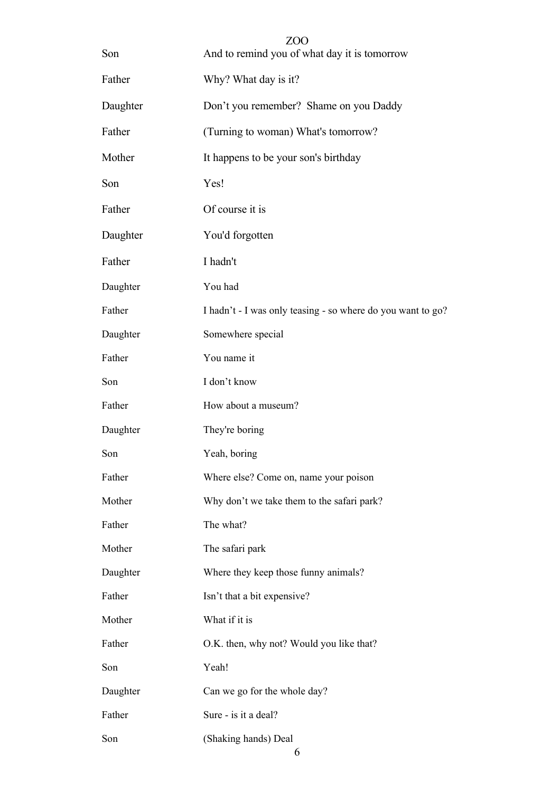| Son      | ZOO<br>And to remind you of what day it is tomorrow         |
|----------|-------------------------------------------------------------|
| Father   | Why? What day is it?                                        |
| Daughter | Don't you remember? Shame on you Daddy                      |
| Father   | (Turning to woman) What's tomorrow?                         |
| Mother   | It happens to be your son's birthday                        |
| Son      | Yes!                                                        |
| Father   | Of course it is                                             |
| Daughter | You'd forgotten                                             |
| Father   | I hadn't                                                    |
| Daughter | You had                                                     |
| Father   | I hadn't - I was only teasing - so where do you want to go? |
| Daughter | Somewhere special                                           |
| Father   | You name it                                                 |
| Son      | I don't know                                                |
| Father   | How about a museum?                                         |
| Daughter | They're boring                                              |
| Son      | Yeah, boring                                                |
| Father   | Where else? Come on, name your poison                       |
| Mother   | Why don't we take them to the safari park?                  |
| Father   | The what?                                                   |
| Mother   | The safari park                                             |
| Daughter | Where they keep those funny animals?                        |
| Father   | Isn't that a bit expensive?                                 |
| Mother   | What if it is                                               |
| Father   | O.K. then, why not? Would you like that?                    |
| Son      | Yeah!                                                       |
| Daughter | Can we go for the whole day?                                |
| Father   | Sure - is it a deal?                                        |
| Son      | (Shaking hands) Deal                                        |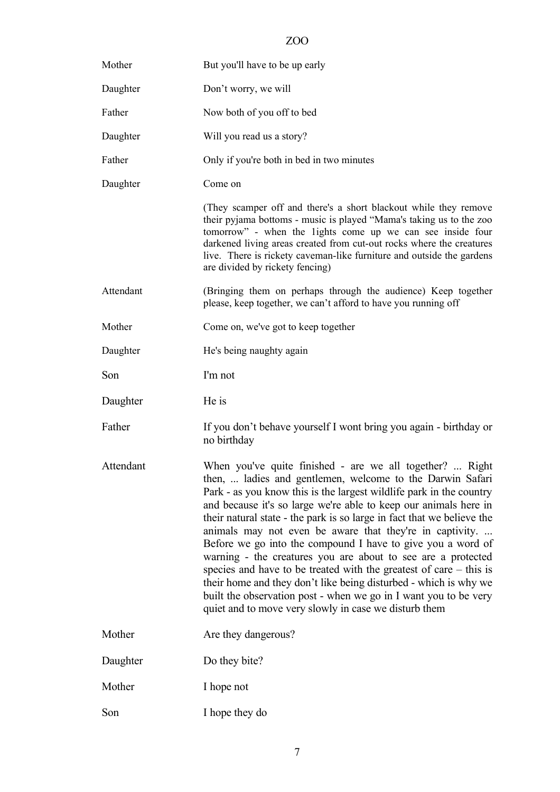| Mother    | But you'll have to be up early                                                                                                                                                                                                                                                                                                                                                                                                                                                                                                                                                                                                                                                                                                                                                                                |
|-----------|---------------------------------------------------------------------------------------------------------------------------------------------------------------------------------------------------------------------------------------------------------------------------------------------------------------------------------------------------------------------------------------------------------------------------------------------------------------------------------------------------------------------------------------------------------------------------------------------------------------------------------------------------------------------------------------------------------------------------------------------------------------------------------------------------------------|
| Daughter  | Don't worry, we will                                                                                                                                                                                                                                                                                                                                                                                                                                                                                                                                                                                                                                                                                                                                                                                          |
| Father    | Now both of you off to bed                                                                                                                                                                                                                                                                                                                                                                                                                                                                                                                                                                                                                                                                                                                                                                                    |
| Daughter  | Will you read us a story?                                                                                                                                                                                                                                                                                                                                                                                                                                                                                                                                                                                                                                                                                                                                                                                     |
| Father    | Only if you're both in bed in two minutes                                                                                                                                                                                                                                                                                                                                                                                                                                                                                                                                                                                                                                                                                                                                                                     |
| Daughter  | Come on                                                                                                                                                                                                                                                                                                                                                                                                                                                                                                                                                                                                                                                                                                                                                                                                       |
|           | (They scamper off and there's a short blackout while they remove<br>their pyjama bottoms - music is played "Mama's taking us to the zoo<br>tomorrow" - when the lights come up we can see inside four<br>darkened living areas created from cut-out rocks where the creatures<br>live. There is rickety caveman-like furniture and outside the gardens<br>are divided by rickety fencing)                                                                                                                                                                                                                                                                                                                                                                                                                     |
| Attendant | (Bringing them on perhaps through the audience) Keep together<br>please, keep together, we can't afford to have you running off                                                                                                                                                                                                                                                                                                                                                                                                                                                                                                                                                                                                                                                                               |
| Mother    | Come on, we've got to keep together                                                                                                                                                                                                                                                                                                                                                                                                                                                                                                                                                                                                                                                                                                                                                                           |
| Daughter  | He's being naughty again                                                                                                                                                                                                                                                                                                                                                                                                                                                                                                                                                                                                                                                                                                                                                                                      |
| Son       | I'm not                                                                                                                                                                                                                                                                                                                                                                                                                                                                                                                                                                                                                                                                                                                                                                                                       |
| Daughter  | He is                                                                                                                                                                                                                                                                                                                                                                                                                                                                                                                                                                                                                                                                                                                                                                                                         |
| Father    | If you don't behave yourself I wont bring you again - birthday or<br>no birthday                                                                                                                                                                                                                                                                                                                                                                                                                                                                                                                                                                                                                                                                                                                              |
| Attendant | When you've quite finished - are we all together?  Right<br>then,  ladies and gentlemen, welcome to the Darwin Safari<br>Park - as you know this is the largest wildlife park in the country<br>and because it's so large we're able to keep our animals here in<br>their natural state - the park is so large in fact that we believe the<br>animals may not even be aware that they're in captivity<br>Before we go into the compound I have to give you a word of<br>warning - the creatures you are about to see are a protected<br>species and have to be treated with the greatest of care $-$ this is<br>their home and they don't like being disturbed - which is why we<br>built the observation post - when we go in I want you to be very<br>quiet and to move very slowly in case we disturb them |
| Mother    | Are they dangerous?                                                                                                                                                                                                                                                                                                                                                                                                                                                                                                                                                                                                                                                                                                                                                                                           |
| Daughter  | Do they bite?                                                                                                                                                                                                                                                                                                                                                                                                                                                                                                                                                                                                                                                                                                                                                                                                 |
| Mother    | I hope not                                                                                                                                                                                                                                                                                                                                                                                                                                                                                                                                                                                                                                                                                                                                                                                                    |
|           |                                                                                                                                                                                                                                                                                                                                                                                                                                                                                                                                                                                                                                                                                                                                                                                                               |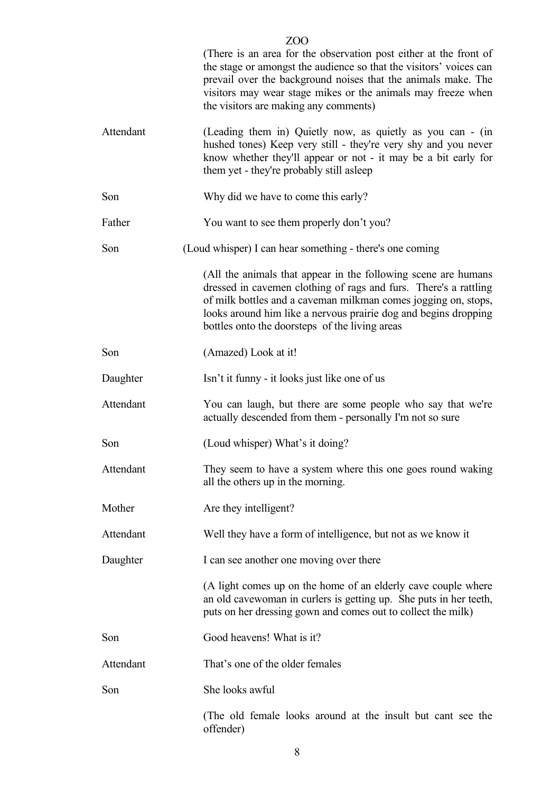|           | ZOO                                                                                                                                                                                                                                                                                                                       |
|-----------|---------------------------------------------------------------------------------------------------------------------------------------------------------------------------------------------------------------------------------------------------------------------------------------------------------------------------|
|           | (There is an area for the observation post either at the front of<br>the stage or amongst the audience so that the visitors' voices can<br>prevail over the background noises that the animals make. The<br>visitors may wear stage mikes or the animals may freeze when<br>the visitors are making any comments)         |
| Attendant | (Leading them in) Quietly now, as quietly as you can - (in<br>hushed tones) Keep very still - they're very shy and you never<br>know whether they'll appear or not - it may be a bit early for<br>them yet - they're probably still as leep                                                                               |
| Son       | Why did we have to come this early?                                                                                                                                                                                                                                                                                       |
| Father    | You want to see them properly don't you?                                                                                                                                                                                                                                                                                  |
| Son       | (Loud whisper) I can hear something - there's one coming                                                                                                                                                                                                                                                                  |
|           | (All the animals that appear in the following scene are humans<br>dressed in cavemen clothing of rags and furs. There's a rattling<br>of milk bottles and a caveman milkman comes jogging on, stops,<br>looks around him like a nervous prairie dog and begins dropping<br>bottles onto the doorsteps of the living areas |
| Son       | (Amazed) Look at it!                                                                                                                                                                                                                                                                                                      |
| Daughter  | Isn't it funny - it looks just like one of us                                                                                                                                                                                                                                                                             |
| Attendant | You can laugh, but there are some people who say that we're<br>actually descended from them - personally I'm not so sure                                                                                                                                                                                                  |
| Son       | (Loud whisper) What's it doing?                                                                                                                                                                                                                                                                                           |
| Attendant | They seem to have a system where this one goes round waking<br>all the others up in the morning.                                                                                                                                                                                                                          |
| Mother    | Are they intelligent?                                                                                                                                                                                                                                                                                                     |
| Attendant | Well they have a form of intelligence, but not as we know it                                                                                                                                                                                                                                                              |
| Daughter  | I can see another one moving over there                                                                                                                                                                                                                                                                                   |
|           | (A light comes up on the home of an elderly cave couple where<br>an old cavewoman in curlers is getting up. She puts in her teeth,<br>puts on her dressing gown and comes out to collect the milk)                                                                                                                        |
| Son       | Good heavens! What is it?                                                                                                                                                                                                                                                                                                 |
| Attendant | That's one of the older females                                                                                                                                                                                                                                                                                           |
| Son       | She looks awful                                                                                                                                                                                                                                                                                                           |
|           | (The old female looks around at the insult but cant see the<br>offender)                                                                                                                                                                                                                                                  |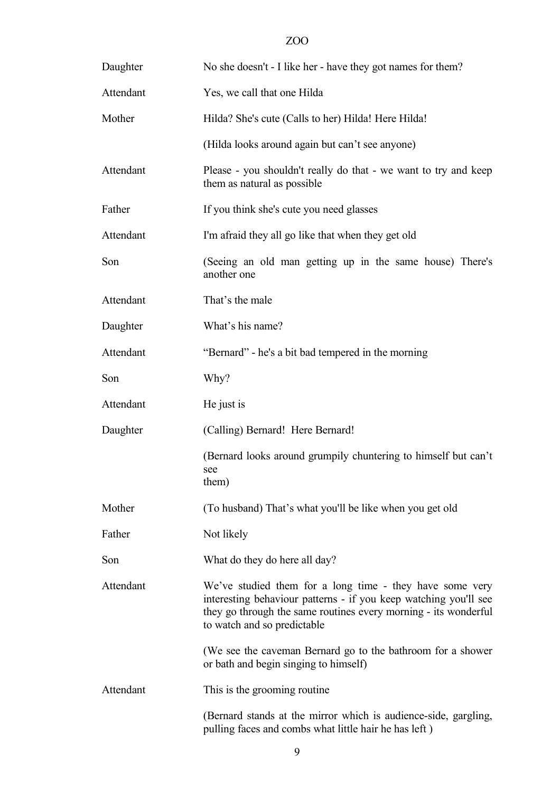| Daughter  | No she doesn't - I like her - have they got names for them?                                                                                                                                                                    |
|-----------|--------------------------------------------------------------------------------------------------------------------------------------------------------------------------------------------------------------------------------|
| Attendant | Yes, we call that one Hilda                                                                                                                                                                                                    |
| Mother    | Hilda? She's cute (Calls to her) Hilda! Here Hilda!                                                                                                                                                                            |
|           | (Hilda looks around again but can't see anyone)                                                                                                                                                                                |
| Attendant | Please - you shouldn't really do that - we want to try and keep<br>them as natural as possible                                                                                                                                 |
| Father    | If you think she's cute you need glasses                                                                                                                                                                                       |
| Attendant | I'm afraid they all go like that when they get old                                                                                                                                                                             |
| Son       | (Seeing an old man getting up in the same house) There's<br>another one                                                                                                                                                        |
| Attendant | That's the male                                                                                                                                                                                                                |
| Daughter  | What's his name?                                                                                                                                                                                                               |
| Attendant | "Bernard" - he's a bit bad tempered in the morning                                                                                                                                                                             |
| Son       | Why?                                                                                                                                                                                                                           |
| Attendant | He just is                                                                                                                                                                                                                     |
| Daughter  | (Calling) Bernard! Here Bernard!                                                                                                                                                                                               |
|           | (Bernard looks around grumpily chuntering to himself but can't<br>see<br>them)                                                                                                                                                 |
| Mother    | (To husband) That's what you'll be like when you get old                                                                                                                                                                       |
| Father    | Not likely                                                                                                                                                                                                                     |
| Son       | What do they do here all day?                                                                                                                                                                                                  |
| Attendant | We've studied them for a long time - they have some very<br>interesting behaviour patterns - if you keep watching you'll see<br>they go through the same routines every morning - its wonderful<br>to watch and so predictable |
|           | (We see the caveman Bernard go to the bathroom for a shower<br>or bath and begin singing to himself)                                                                                                                           |
| Attendant | This is the grooming routine.                                                                                                                                                                                                  |
|           | (Bernard stands at the mirror which is audience-side, gargling,<br>pulling faces and combs what little hair he has left)                                                                                                       |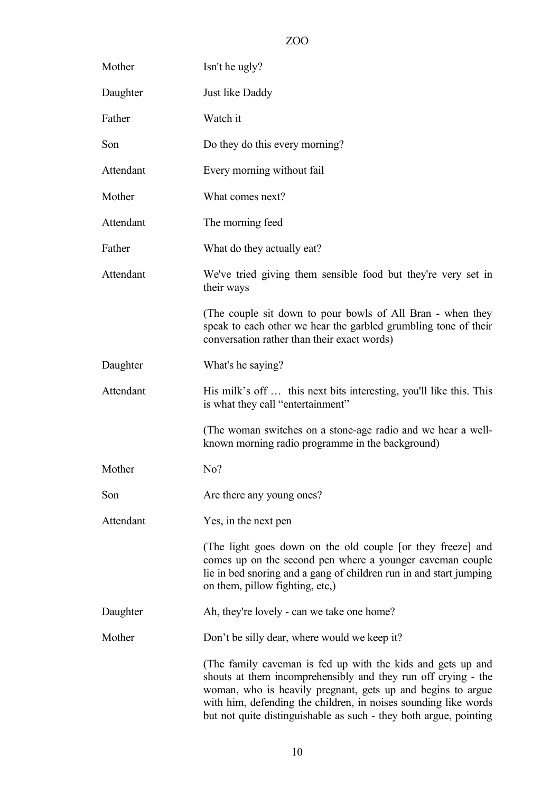| Mother    | Isn't he ugly?                                                                                                                                                                                                                                                                                                                      |
|-----------|-------------------------------------------------------------------------------------------------------------------------------------------------------------------------------------------------------------------------------------------------------------------------------------------------------------------------------------|
| Daughter  | Just like Daddy                                                                                                                                                                                                                                                                                                                     |
| Father    | Watch it                                                                                                                                                                                                                                                                                                                            |
| Son       | Do they do this every morning?                                                                                                                                                                                                                                                                                                      |
| Attendant | Every morning without fail                                                                                                                                                                                                                                                                                                          |
| Mother    | What comes next?                                                                                                                                                                                                                                                                                                                    |
| Attendant | The morning feed                                                                                                                                                                                                                                                                                                                    |
| Father    | What do they actually eat?                                                                                                                                                                                                                                                                                                          |
| Attendant | We've tried giving them sensible food but they're very set in<br>their ways                                                                                                                                                                                                                                                         |
|           | (The couple sit down to pour bowls of All Bran - when they<br>speak to each other we hear the garbled grumbling tone of their<br>conversation rather than their exact words)                                                                                                                                                        |
| Daughter  | What's he saying?                                                                                                                                                                                                                                                                                                                   |
| Attendant | His milk's off  this next bits interesting, you'll like this. This<br>is what they call "entertainment"                                                                                                                                                                                                                             |
|           | (The woman switches on a stone-age radio and we hear a well-<br>known morning radio programme in the background)                                                                                                                                                                                                                    |
| Mother    | No?                                                                                                                                                                                                                                                                                                                                 |
| Son       | Are there any young ones?                                                                                                                                                                                                                                                                                                           |
| Attendant | Yes, in the next pen                                                                                                                                                                                                                                                                                                                |
|           | (The light goes down on the old couple [or they freeze] and<br>comes up on the second pen where a younger caveman couple<br>lie in bed snoring and a gang of children run in and start jumping<br>on them, pillow fighting, etc.)                                                                                                   |
| Daughter  | Ah, they're lovely - can we take one home?                                                                                                                                                                                                                                                                                          |
| Mother    | Don't be silly dear, where would we keep it?                                                                                                                                                                                                                                                                                        |
|           | (The family caveman is fed up with the kids and gets up and<br>shouts at them incomprehensibly and they run off crying - the<br>woman, who is heavily pregnant, gets up and begins to argue<br>with him, defending the children, in noises sounding like words<br>but not quite distinguishable as such - they both argue, pointing |